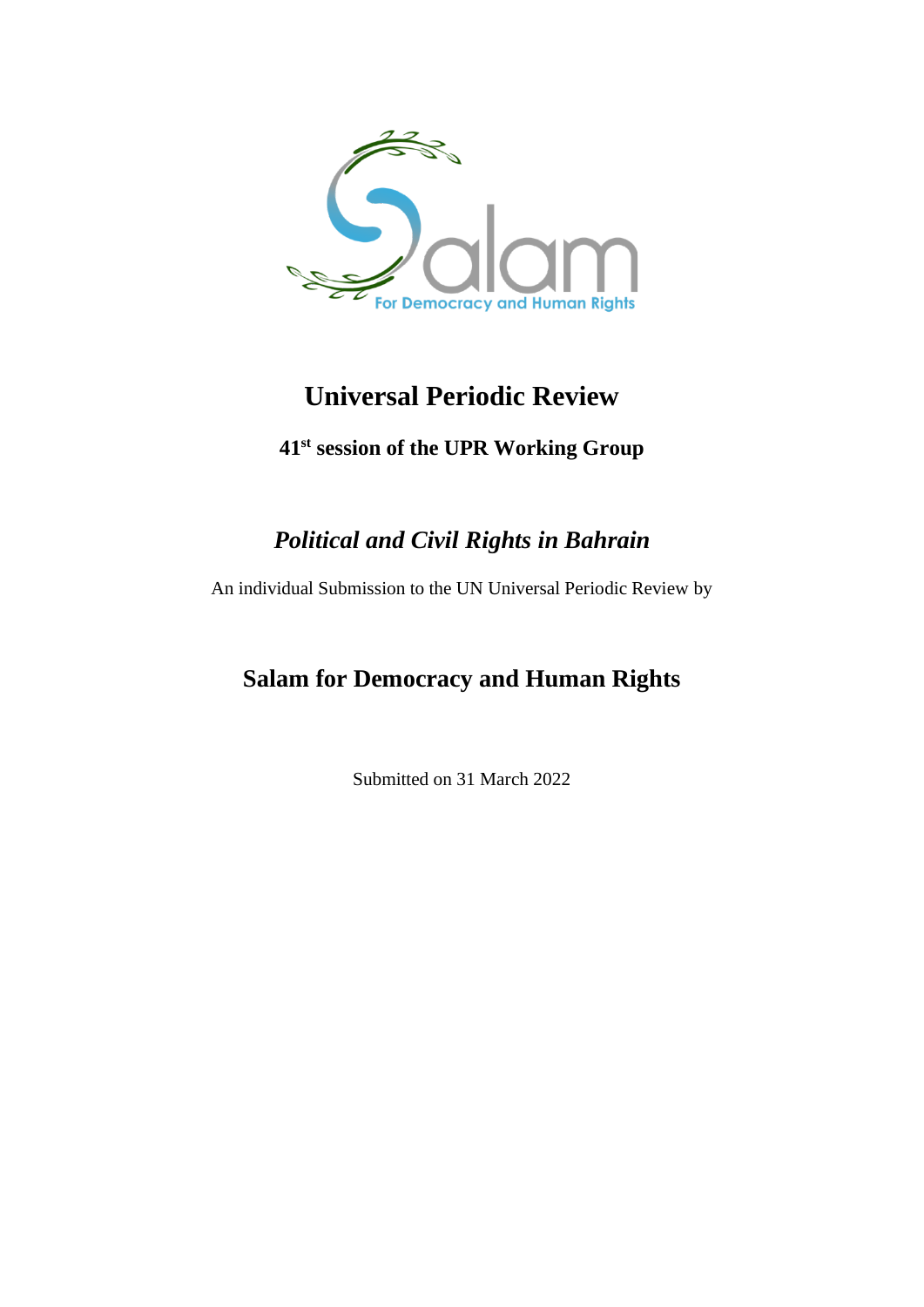

# **Universal Periodic Review**

### **41st session of the UPR Working Group**

## *Political and Civil Rights in Bahrain*

An individual Submission to the UN Universal Periodic Review by

## **Salam for Democracy and Human Rights**

Submitted on 31 March 2022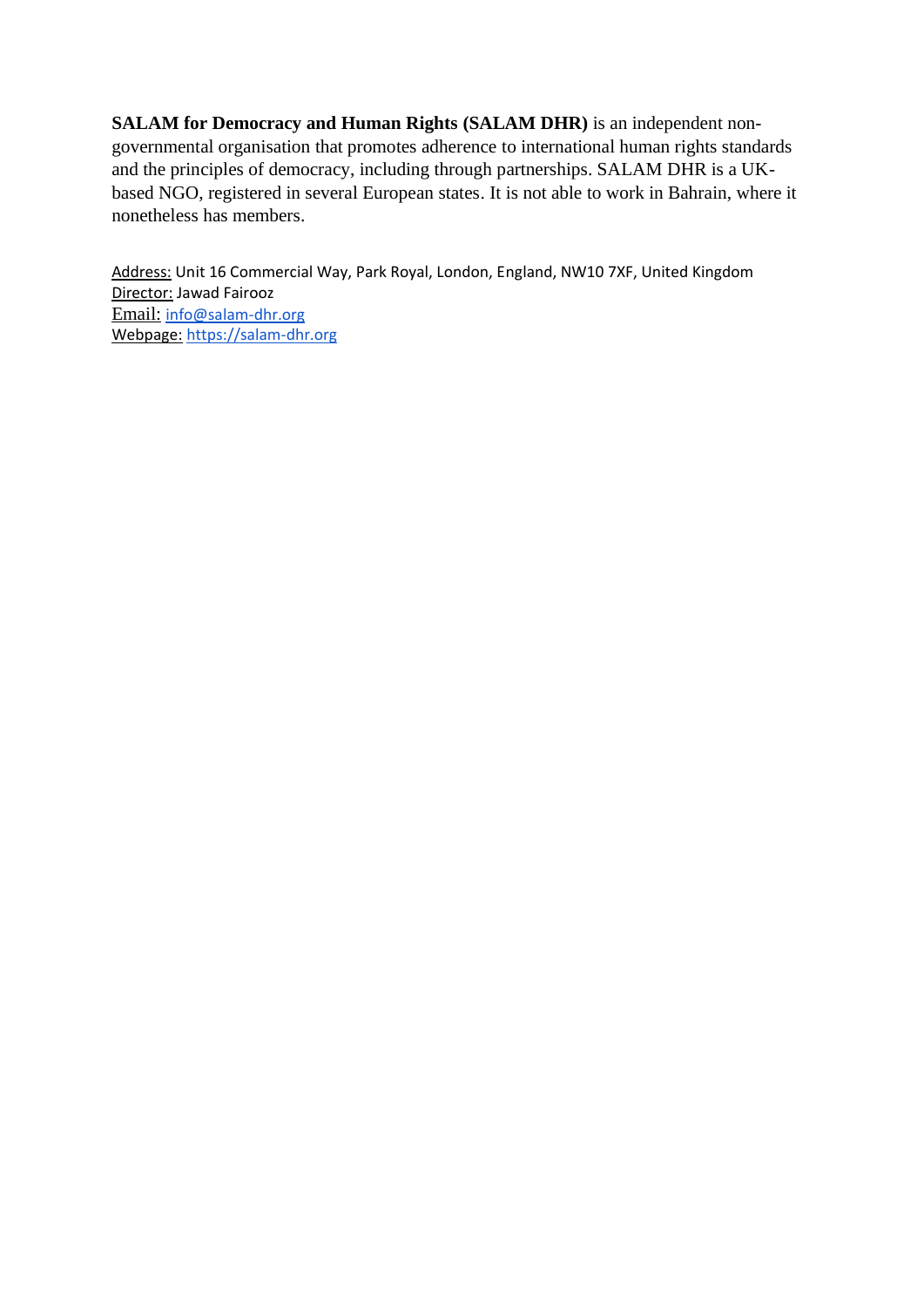**SALAM for Democracy and Human Rights (SALAM DHR)** is an independent nongovernmental organisation that promotes adherence to international human rights standards and the principles of democracy, including through partnerships. SALAM DHR is a UKbased NGO, registered in several European states. It is not able to work in Bahrain, where it nonetheless has members.

Address: Unit 16 Commercial Way, Park Royal, London, England, NW10 7XF, United Kingdom Director: Jawad Fairooz Email: [info@salam-dhr.org](mailto:info@salam-dhr.org) Webpage: [https://salam-dhr.org](https://salam-dhr.org/)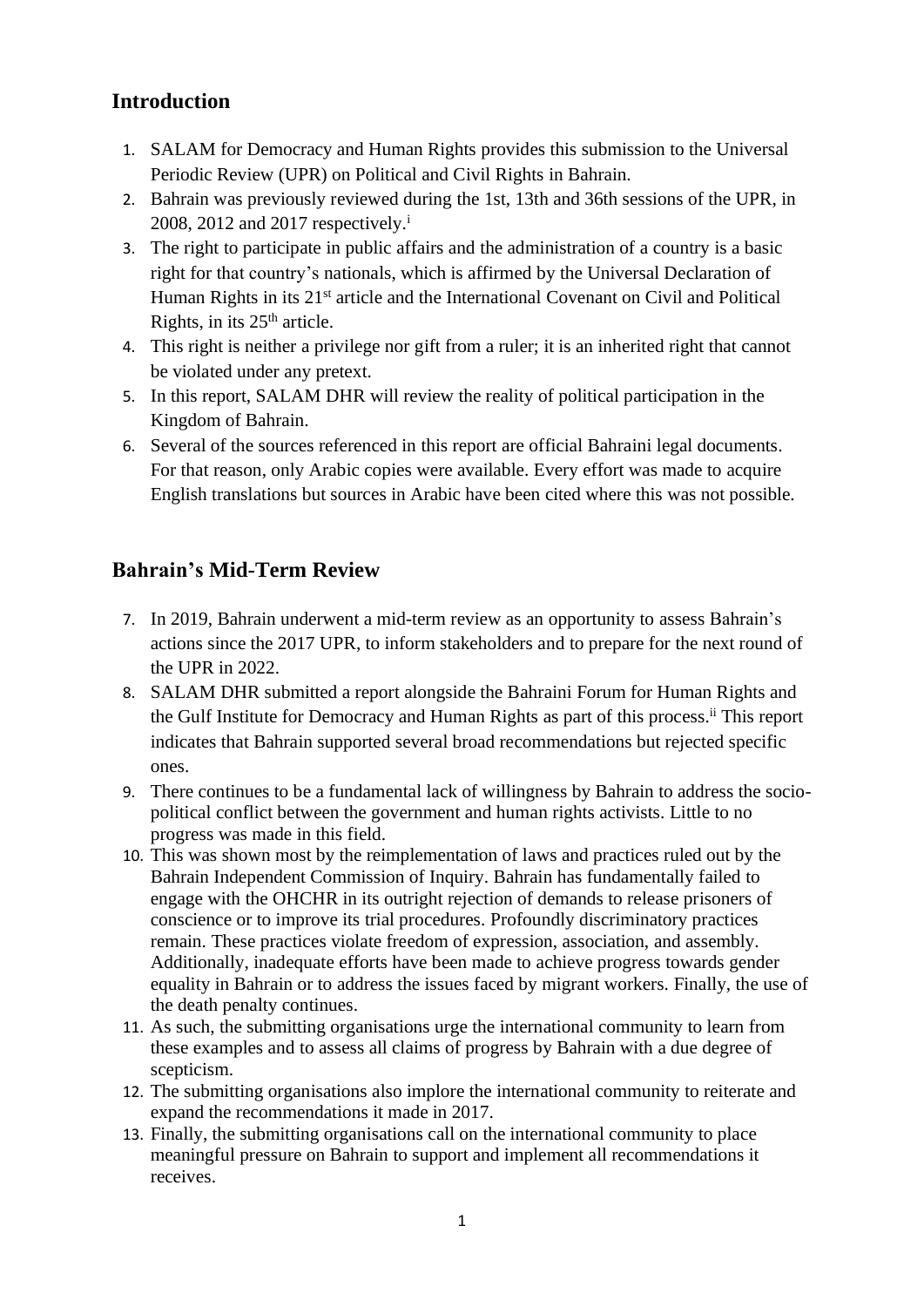#### **Introduction**

- 1. SALAM for Democracy and Human Rights provides this submission to the Universal Periodic Review (UPR) on Political and Civil Rights in Bahrain.
- 2. Bahrain was previously reviewed during the 1st, 13th and 36th sessions of the UPR, in 2008, 2012 and 2017 respectively.<sup>i</sup>
- 3. The right to participate in public affairs and the administration of a country is a basic right for that country's nationals, which is affirmed by the Universal Declaration of Human Rights in its 21<sup>st</sup> article and the International Covenant on Civil and Political Rights, in its  $25<sup>th</sup>$  article.
- 4. This right is neither a privilege nor gift from a ruler; it is an inherited right that cannot be violated under any pretext.
- 5. In this report, SALAM DHR will review the reality of political participation in the Kingdom of Bahrain.
- 6. Several of the sources referenced in this report are official Bahraini legal documents. For that reason, only Arabic copies were available. Every effort was made to acquire English translations but sources in Arabic have been cited where this was not possible.

#### **Bahrain's Mid-Term Review**

- 7. In 2019, Bahrain underwent a mid-term review as an opportunity to assess Bahrain's actions since the 2017 UPR, to inform stakeholders and to prepare for the next round of the UPR in 2022.
- 8. SALAM DHR submitted a report alongside the Bahraini Forum for Human Rights and the Gulf Institute for Democracy and Human Rights as part of this process.<sup>ii</sup> This report indicates that Bahrain supported several broad recommendations but rejected specific ones.
- 9. There continues to be a fundamental lack of willingness by Bahrain to address the sociopolitical conflict between the government and human rights activists. Little to no progress was made in this field.
- 10. This was shown most by the reimplementation of laws and practices ruled out by the Bahrain Independent Commission of Inquiry. Bahrain has fundamentally failed to engage with the OHCHR in its outright rejection of demands to release prisoners of conscience or to improve its trial procedures. Profoundly discriminatory practices remain. These practices violate freedom of expression, association, and assembly. Additionally, inadequate efforts have been made to achieve progress towards gender equality in Bahrain or to address the issues faced by migrant workers. Finally, the use of the death penalty continues.
- 11. As such, the submitting organisations urge the international community to learn from these examples and to assess all claims of progress by Bahrain with a due degree of scepticism.
- 12. The submitting organisations also implore the international community to reiterate and expand the recommendations it made in 2017.
- 13. Finally, the submitting organisations call on the international community to place meaningful pressure on Bahrain to support and implement all recommendations it receives.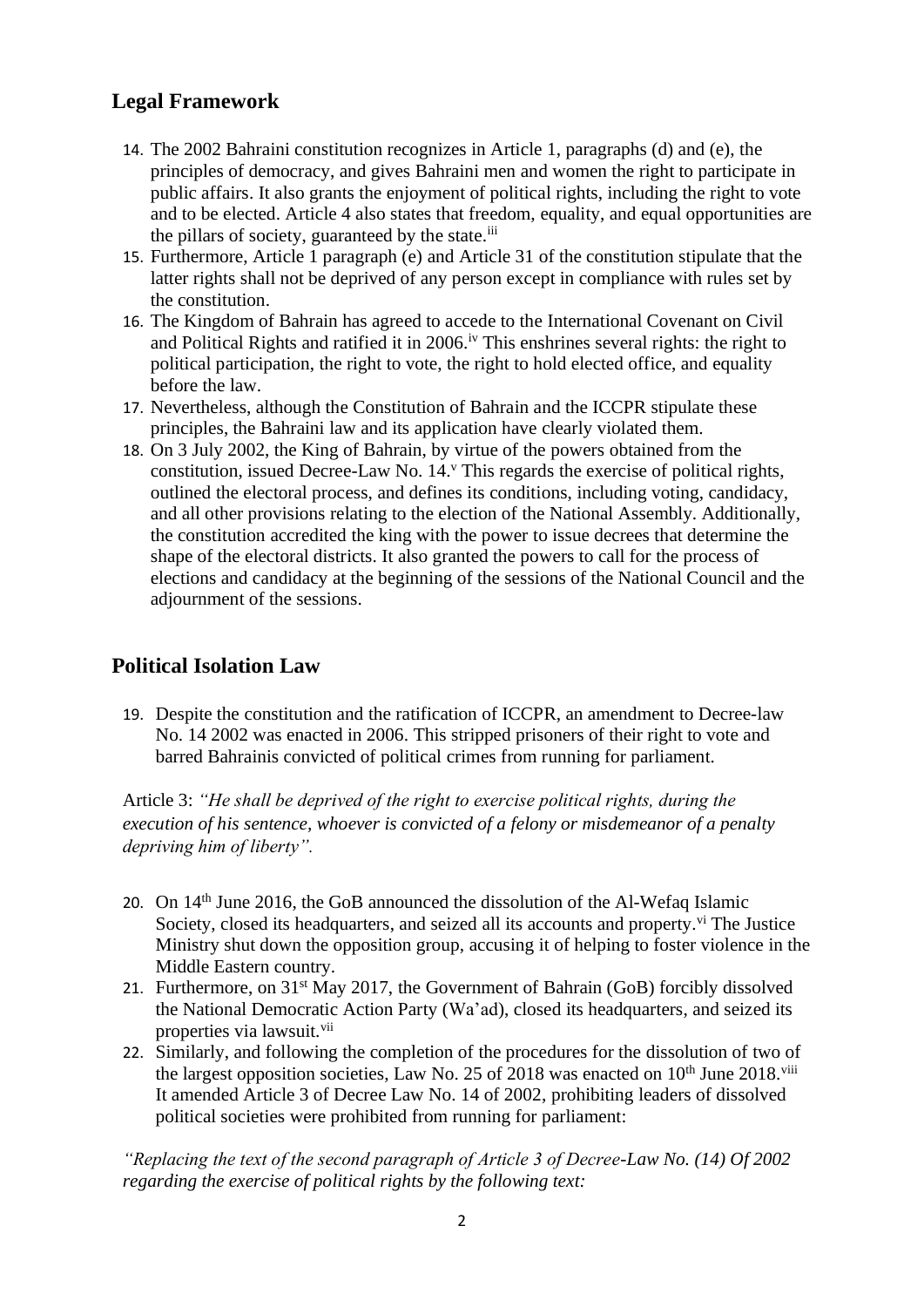#### **Legal Framework**

- 14. The 2002 Bahraini constitution recognizes in Article 1, paragraphs (d) and (e), the principles of democracy, and gives Bahraini men and women the right to participate in public affairs. It also grants the enjoyment of political rights, including the right to vote and to be elected. Article 4 also states that freedom, equality, and equal opportunities are the pillars of society, guaranteed by the state.<sup>iii</sup>
- 15. Furthermore, Article 1 paragraph (e) and Article 31 of the constitution stipulate that the latter rights shall not be deprived of any person except in compliance with rules set by the constitution.
- 16. The Kingdom of Bahrain has agreed to accede to the International Covenant on Civil and Political Rights and ratified it in 2006.<sup>iv</sup> This enshrines several rights: the right to political participation, the right to vote, the right to hold elected office, and equality before the law.
- 17. Nevertheless, although the Constitution of Bahrain and the ICCPR stipulate these principles, the Bahraini law and its application have clearly violated them.
- 18. On 3 July 2002, the King of Bahrain, by virtue of the powers obtained from the constitution, issued Decree-Law No. 14.<sup>v</sup> This regards the exercise of political rights, outlined the electoral process, and defines its conditions, including voting, candidacy, and all other provisions relating to the election of the National Assembly. Additionally, the constitution accredited the king with the power to issue decrees that determine the shape of the electoral districts. It also granted the powers to call for the process of elections and candidacy at the beginning of the sessions of the National Council and the adjournment of the sessions.

#### **Political Isolation Law**

19. Despite the constitution and the ratification of ICCPR, an amendment to Decree-law No. 14 2002 was enacted in 2006. This stripped prisoners of their right to vote and barred Bahrainis convicted of political crimes from running for parliament.

Article 3: *"He shall be deprived of the right to exercise political rights, during the execution of his sentence, whoever is convicted of a felony or misdemeanor of a penalty depriving him of liberty".* 

- 20. On 14th June 2016, the GoB announced the dissolution of the Al-Wefaq Islamic Society, closed its headquarters, and seized all its accounts and property.<sup>vi</sup> The Justice Ministry shut down the opposition group, accusing it of helping to foster violence in the Middle Eastern country.
- 21. Furthermore, on 31<sup>st</sup> May 2017, the Government of Bahrain (GoB) forcibly dissolved the National Democratic Action Party (Wa'ad), closed its headquarters, and seized its properties via lawsuit.<sup>vii</sup>
- 22. Similarly, and following the completion of the procedures for the dissolution of two of the largest opposition societies, Law No. 25 of 2018 was enacted on  $10^{th}$  June 2018. It amended Article 3 of Decree Law No. 14 of 2002, prohibiting leaders of dissolved political societies were prohibited from running for parliament:

*"Replacing the text of the second paragraph of Article 3 of Decree-Law No. (14) Of 2002 regarding the exercise of political rights by the following text:*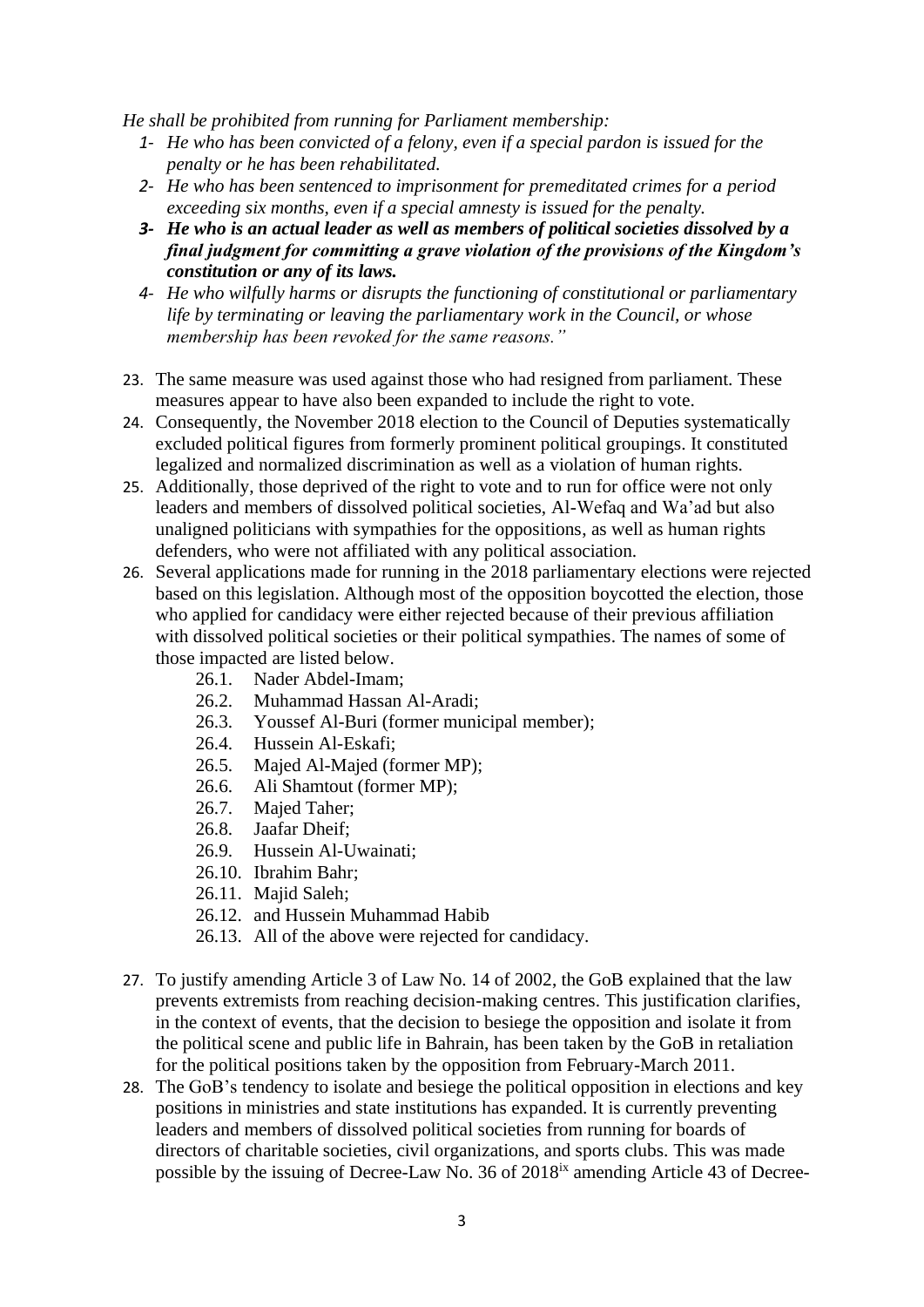*He shall be prohibited from running for Parliament membership:* 

- *1- He who has been convicted of a felony, even if a special pardon is issued for the penalty or he has been rehabilitated.*
- *2- He who has been sentenced to imprisonment for premeditated crimes for a period exceeding six months, even if a special amnesty is issued for the penalty.*
- *3- He who is an actual leader as well as members of political societies dissolved by a final judgment for committing a grave violation of the provisions of the Kingdom's constitution or any of its laws.*
- *4- He who wilfully harms or disrupts the functioning of constitutional or parliamentary life by terminating or leaving the parliamentary work in the Council, or whose membership has been revoked for the same reasons."*
- 23. The same measure was used against those who had resigned from parliament. These measures appear to have also been expanded to include the right to vote.
- 24. Consequently, the November 2018 election to the Council of Deputies systematically excluded political figures from formerly prominent political groupings. It constituted legalized and normalized discrimination as well as a violation of human rights.
- 25. Additionally, those deprived of the right to vote and to run for office were not only leaders and members of dissolved political societies, Al-Wefaq and Wa'ad but also unaligned politicians with sympathies for the oppositions, as well as human rights defenders, who were not affiliated with any political association.
- 26. Several applications made for running in the 2018 parliamentary elections were rejected based on this legislation. Although most of the opposition boycotted the election, those who applied for candidacy were either rejected because of their previous affiliation with dissolved political societies or their political sympathies. The names of some of those impacted are listed below.
	- 26.1. Nader Abdel-Imam;
	- 26.2. Muhammad Hassan Al-Aradi;
	- 26.3. Youssef Al-Buri (former municipal member);
	- 26.4. Hussein Al-Eskafi;
	- 26.5. Majed Al-Majed (former MP);
	- 26.6. Ali Shamtout (former MP);
	- 26.7. Majed Taher;
	- 26.8. Jaafar Dheif;
	- 26.9. Hussein Al-Uwainati;
	- 26.10. Ibrahim Bahr;
	- 26.11. Maiid Saleh:
	- 26.12. and Hussein Muhammad Habib
	- 26.13. All of the above were rejected for candidacy.
- 27. To justify amending Article 3 of Law No. 14 of 2002, the GoB explained that the law prevents extremists from reaching decision-making centres. This justification clarifies, in the context of events, that the decision to besiege the opposition and isolate it from the political scene and public life in Bahrain, has been taken by the GoB in retaliation for the political positions taken by the opposition from February-March 2011.
- 28. The GoB's tendency to isolate and besiege the political opposition in elections and key positions in ministries and state institutions has expanded. It is currently preventing leaders and members of dissolved political societies from running for boards of directors of charitable societies, civil organizations, and sports clubs. This was made possible by the issuing of Decree-Law No. 36 of 2018ix amending Article 43 of Decree-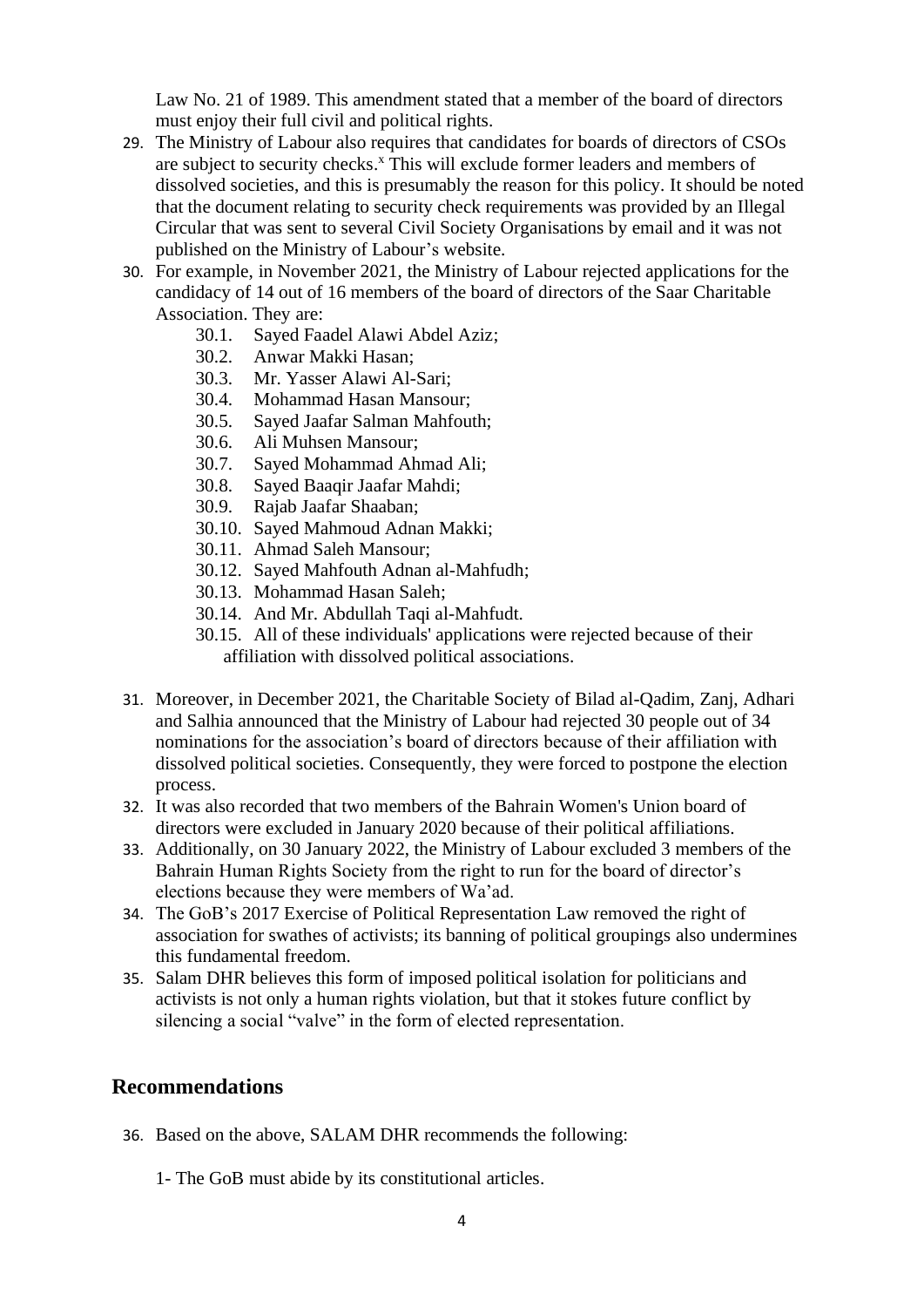Law No. 21 of 1989. This amendment stated that a member of the board of directors must enjoy their full civil and political rights.

- 29. The Ministry of Labour also requires that candidates for boards of directors of CSOs are subject to security checks.<sup>x</sup> This will exclude former leaders and members of dissolved societies, and this is presumably the reason for this policy. It should be noted that the document relating to security check requirements was provided by an Illegal Circular that was sent to several Civil Society Organisations by email and it was not published on the Ministry of Labour's website.
- 30. For example, in November 2021, the Ministry of Labour rejected applications for the candidacy of 14 out of 16 members of the board of directors of the Saar Charitable Association. They are:
	- 30.1. Sayed Faadel Alawi Abdel Aziz;
	- 30.2. Anwar Makki Hasan;
	- 30.3. Mr. Yasser Alawi Al-Sari;
	- 30.4. Mohammad Hasan Mansour;
	- 30.5. Sayed Jaafar Salman Mahfouth;
	- 30.6. Ali Muhsen Mansour;
	- 30.7. Sayed Mohammad Ahmad Ali;
	- 30.8. Sayed Baaqir Jaafar Mahdi;
	- 30.9. Rajab Jaafar Shaaban;
	- 30.10. Sayed Mahmoud Adnan Makki;
	- 30.11. Ahmad Saleh Mansour;
	- 30.12. Sayed Mahfouth Adnan al-Mahfudh;
	- 30.13. Mohammad Hasan Saleh;
	- 30.14. And Mr. Abdullah Taqi al-Mahfudt.
	- 30.15. All of these individuals' applications were rejected because of their affiliation with dissolved political associations.
- 31. Moreover, in December 2021, the Charitable Society of Bilad al-Qadim, Zanj, Adhari and Salhia announced that the Ministry of Labour had rejected 30 people out of 34 nominations for the association's board of directors because of their affiliation with dissolved political societies. Consequently, they were forced to postpone the election process.
- 32. It was also recorded that two members of the Bahrain Women's Union board of directors were excluded in January 2020 because of their political affiliations.
- 33. Additionally, on 30 January 2022, the Ministry of Labour excluded 3 members of the Bahrain Human Rights Society from the right to run for the board of director's elections because they were members of Wa'ad.
- 34. The GoB's 2017 Exercise of Political Representation Law removed the right of association for swathes of activists; its banning of political groupings also undermines this fundamental freedom.
- 35. Salam DHR believes this form of imposed political isolation for politicians and activists is not only a human rights violation, but that it stokes future conflict by silencing a social "valve" in the form of elected representation.

#### **Recommendations**

36. Based on the above, SALAM DHR recommends the following:

1- The GoB must abide by its constitutional articles.